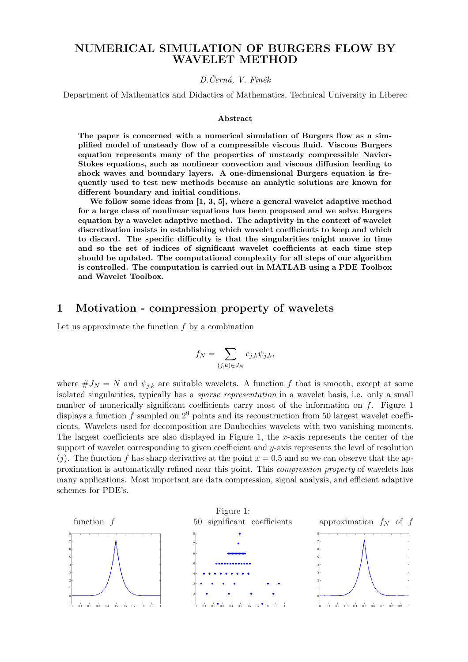### NUMERICAL SIMULATION OF BURGERS FLOW BY WAVELET METHOD

### D.Černá, V. Finěk

Department of Mathematics and Didactics of Mathematics, Technical University in Liberec

#### Abstract

The paper is concerned with a numerical simulation of Burgers flow as a simplified model of unsteady flow of a compressible viscous fluid. Viscous Burgers equation represents many of the properties of unsteady compressible Navier-Stokes equations, such as nonlinear convection and viscous diffusion leading to shock waves and boundary layers. A one-dimensional Burgers equation is frequently used to test new methods because an analytic solutions are known for different boundary and initial conditions.

We follow some ideas from  $\left[1, 3, 5\right]$ , where a general wavelet adaptive method for a large class of nonlinear equations has been proposed and we solve Burgers equation by a wavelet adaptive method. The adaptivity in the context of wavelet discretization insists in establishing which wavelet coefficients to keep and which to discard. The specific difficulty is that the singularities might move in time and so the set of indices of significant wavelet coefficients at each time step should be updated. The computational complexity for all steps of our algorithm is controlled. The computation is carried out in MATLAB using a PDE Toolbox and Wavelet Toolbox.

### 1 Motivation - compression property of wavelets

Let us approximate the function  $f$  by a combination

$$
f_N = \sum_{(j,k)\in J_N} c_{j,k} \psi_{j,k},
$$

where  $\#J_N = N$  and  $\psi_{j,k}$  are suitable wavelets. A function f that is smooth, except at some isolated singularities, typically has a sparse representation in a wavelet basis, i.e. only a small number of numerically significant coefficients carry most of the information on  $f$ . Figure 1 displays a function f sampled on  $2^9$  points and its reconstruction from 50 largest wavelet coefficients. Wavelets used for decomposition are Daubechies wavelets with two vanishing moments. The largest coefficients are also displayed in Figure 1, the x-axis represents the center of the support of wavelet corresponding to given coefficient and  $y$ -axis represents the level of resolution  $(j)$ . The function f has sharp derivative at the point  $x = 0.5$  and so we can observe that the approximation is automatically refined near this point. This compression property of wavelets has many applications. Most important are data compression, signal analysis, and efficient adaptive schemes for PDE's.

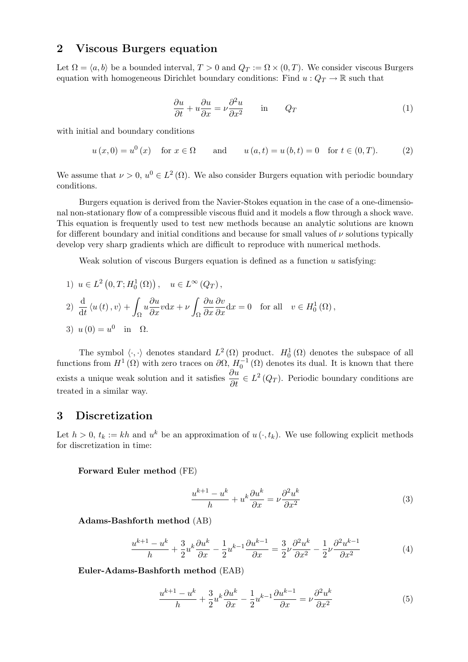# 2 Viscous Burgers equation

Let  $\Omega = \langle a, b \rangle$  be a bounded interval,  $T > 0$  and  $Q_T := \Omega \times (0, T)$ . We consider viscous Burgers equation with homogeneous Dirichlet boundary conditions: Find  $u: Q_T \to \mathbb{R}$  such that

$$
\frac{\partial u}{\partial t} + u \frac{\partial u}{\partial x} = \nu \frac{\partial^2 u}{\partial x^2} \quad \text{in} \quad Q_T \tag{1}
$$

with initial and boundary conditions

$$
u(x, 0) = u^{0}(x)
$$
 for  $x \in \Omega$  and  $u(a,t) = u(b,t) = 0$  for  $t \in (0,T)$ . (2)

We assume that  $\nu > 0$ ,  $u^0 \in L^2(\Omega)$ . We also consider Burgers equation with periodic boundary conditions.

Burgers equation is derived from the Navier-Stokes equation in the case of a one-dimensional non-stationary flow of a compressible viscous fluid and it models a flow through a shock wave. This equation is frequently used to test new methods because an analytic solutions are known for different boundary and initial conditions and because for small values of  $\nu$  solutions typically develop very sharp gradients which are difficult to reproduce with numerical methods.

Weak solution of viscous Burgers equation is defined as a function  $u$  satisfying:

1) 
$$
u \in L^2(0, T; H_0^1(\Omega)),
$$
  $u \in L^\infty(Q_T),$   
\n2)  $\frac{d}{dt} \langle u(t), v \rangle + \int_{\Omega} u \frac{\partial u}{\partial x} v dx + \nu \int_{\Omega} \frac{\partial u}{\partial x} \frac{\partial v}{\partial x} dx = 0$  for all  $v \in H_0^1(\Omega),$   
\n3)  $u(0) = u^0$  in  $\Omega.$ 

The symbol  $\langle \cdot, \cdot \rangle$  denotes standard  $L^2(\Omega)$  product.  $H_0^1(\Omega)$  denotes the subspace of all functions from  $H^1(\Omega)$  with zero traces on  $\partial\Omega$ ,  $H_0^{-1}(\Omega)$  denotes its dual. It is known that there exists a unique weak solution and it satisfies  $\frac{\partial u}{\partial t} \in L^2(Q_T)$ . Periodic boundary conditions are treated in a similar way.

### 3 Discretization

Let  $h > 0$ ,  $t_k := kh$  and  $u^k$  be an approximation of  $u(\cdot, t_k)$ . We use following explicit methods for discretization in time:

### Forward Euler method (FE)

$$
\frac{u^{k+1} - u^k}{h} + u^k \frac{\partial u^k}{\partial x} = \nu \frac{\partial^2 u^k}{\partial x^2}
$$
 (3)

Adams-Bashforth method (AB)

$$
\frac{u^{k+1} - u^k}{h} + \frac{3}{2}u^k \frac{\partial u^k}{\partial x} - \frac{1}{2}u^{k-1} \frac{\partial u^{k-1}}{\partial x} = \frac{3}{2} \nu \frac{\partial^2 u^k}{\partial x^2} - \frac{1}{2} \nu \frac{\partial^2 u^{k-1}}{\partial x^2}
$$
(4)

Euler-Adams-Bashforth method (EAB)

$$
\frac{u^{k+1} - u^k}{h} + \frac{3}{2}u^k \frac{\partial u^k}{\partial x} - \frac{1}{2}u^{k-1} \frac{\partial u^{k-1}}{\partial x} = \nu \frac{\partial^2 u^k}{\partial x^2}
$$
(5)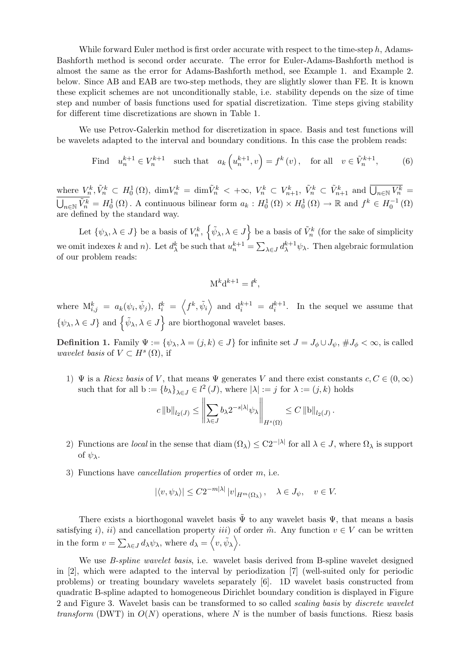While forward Euler method is first order accurate with respect to the time-step  $h$ , Adams-Bashforth method is second order accurate. The error for Euler-Adams-Bashforth method is almost the same as the error for Adams-Bashforth method, see Example 1. and Example 2. below. Since AB and EAB are two-step methods, they are slightly slower than FE. It is known these explicit schemes are not unconditionally stable, i.e. stability depends on the size of time step and number of basis functions used for spatial discretization. Time steps giving stability for different time discretizations are shown in Table 1.

We use Petrov-Galerkin method for discretization in space. Basis and test functions will be wavelets adapted to the interval and boundary conditions. In this case the problem reads:

Find 
$$
u_n^{k+1} \in V_n^{k+1}
$$
 such that  $a_k(u_n^{k+1}, v) = f^k(v)$ , for all  $v \in \tilde{V}_n^{k+1}$ , (6)

where  $V_n^k$ ,  $\tilde{V}_n^k \subset H_0^1(\Omega)$ ,  $\dim V_n^k = \dim \tilde{V}_n^k < +\infty$ ,  $V_n^k \subset V_{n+1}^k$ ,  $\tilde{V}_n^k \subset \tilde{V}_{n+1}^k$  and  $\overline{\bigcup_{n\in\mathbb{N}}V_n^k} =$  $\overline{\widetilde{V}_{n}^{k}} = H_0^1(\Omega)$ . A continuous bilinear form  $a_k : H_0^1(\Omega) \times H_0^1(\Omega) \to \mathbb{R}$  and  $f^k \in H_0^{-1}(\Omega)$ are defined by the standard way.

Let  $\{\psi_{\lambda}, \lambda \in J\}$  be a basis of  $V_n^k$ , n  $\tilde{\psi}_\lambda, \lambda \in J$ o be a basis of  $\tilde{V}_n^k$  (for the sake of simplicity we omit indexes k and n). Let  $d_{\lambda}^{k}$  be such that  $u_{n}^{k+1} =$  $\overline{ }$  $\lambda \in J d_{\lambda}^{k+1} \psi_{\lambda}$ . Then algebraic formulation of our problem reads:

$$
M^k d^{k+1} = f^k,
$$

where  $\mathbf{M}_{i,j}^k = a_k(\psi_i, \tilde{\psi}_j)$ ,  $\mathbf{f}_i^k =$  $\overline{\phantom{a}}$  $f^k, \tilde{\psi}_i$ E and  $d_i^{k+1} = d_i^{k+1}$ . In the sequel we assume that  $\{\psi_{\lambda}, \lambda \in J\}$  and  $\{\tilde{\psi}_{\lambda}, \lambda \in J\}$  are biorthogonal wavelet bases.  $\frac{i}{\sqrt{2}}$ 

**Definition 1.** Family  $\Psi := {\psi_{\lambda}, \lambda = (j,k) \in J}$  for infinite set  $J = J_{\phi} \cup J_{\psi}, \# J_{\phi} < \infty$ , is called wavelet basis of  $V \subset H^s(\Omega)$ , if

1)  $\Psi$  is a Riesz basis of V, that means  $\Psi$  generates V and there exist constants  $c, C \in (0, \infty)$ such that for all  $b := \{b_{\lambda}\}_{{\lambda \in J}} \in l^2(J)$ , where  $|\lambda| := j$  for  $\lambda := (j, k)$  holds  $\|\cdot\|$ 

$$
c \|\mathbf{b}\|_{l_2(J)} \leq \left\|\sum_{\lambda \in J} b_{\lambda} 2^{-s|\lambda|} \psi_{\lambda}\right\|_{H^s(\Omega)} \leq C \|\mathbf{b}\|_{l_2(J)}.
$$

- 2) Functions are *local* in the sense that diam  $(\Omega_{\lambda}) \leq C2^{-|\lambda|}$  for all  $\lambda \in J$ , where  $\Omega_{\lambda}$  is support of  $\psi_{\lambda}$ .
- 3) Functions have cancellation properties of order m, i.e.

$$
|\langle v, \psi_\lambda \rangle| \leq C 2^{-m|\lambda|} |v|_{H^m(\Omega_\lambda)}, \quad \lambda \in J_\psi, \quad v \in V.
$$

There exists a biorthogonal wavelet basis  $\tilde{\Psi}$  to any wavelet basis  $\Psi$ , that means a basis satisfying i), ii) and cancellation property iii) of order  $\tilde{m}$ . Any function  $v \in V$  can be written in the form  $v =$  $\overline{ }$  $\lambda \in J d_{\lambda} \psi_{\lambda}$ , where  $d_{\lambda} = \langle v, \tilde{\psi}_{\lambda} \rangle$ .

We use *B-spline wavelet basis*, i.e. wavelet basis derived from B-spline wavelet designed in [2], which were adapted to the interval by periodization [7] (well-suited only for periodic problems) or treating boundary wavelets separately [6]. 1D wavelet basis constructed from quadratic B-spline adapted to homogeneous Dirichlet boundary condition is displayed in Figure 2 and Figure 3. Wavelet basis can be transformed to so called scaling basis by discrete wavelet transform (DWT) in  $O(N)$  operations, where N is the number of basis functions. Riesz basis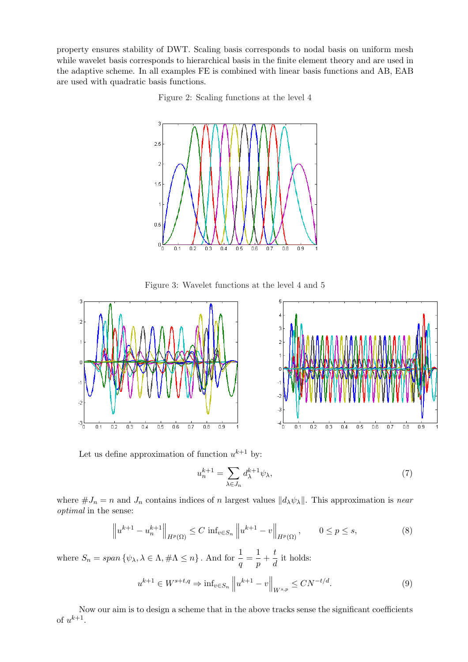property ensures stability of DWT. Scaling basis corresponds to nodal basis on uniform mesh while wavelet basis corresponds to hierarchical basis in the finite element theory and are used in the adaptive scheme. In all examples FE is combined with linear basis functions and AB, EAB are used with quadratic basis functions.

Figure 2: Scaling functions at the level 4



Figure 3: Wavelet functions at the level 4 and 5



Let us define approximation of function  $u^{k+1}$  by:

$$
u_n^{k+1} = \sum_{\lambda \in J_n} d_{\lambda}^{k+1} \psi_{\lambda},\tag{7}
$$

where  $\#J_n = n$  and  $J_n$  contains indices of n largest values  $||d_\lambda \psi_\lambda||$ . This approximation is near optimal in the sense:

$$
\left\| u^{k+1} - u_n^{k+1} \right\|_{H^p(\Omega)} \le C \inf_{v \in S_n} \left\| u^{k+1} - v \right\|_{H^p(\Omega)}, \qquad 0 \le p \le s,
$$
\n(8)

where  $S_n = span\{\psi_\lambda, \lambda \in \Lambda, \#\Lambda \leq n\}$ . And for  $\frac{1}{q} = \frac{1}{p}$  $\frac{1}{p} + \frac{t}{d}$  $\frac{c}{d}$  it holds:

$$
u^{k+1} \in W^{s+t,q} \Rightarrow \inf_{v \in S_n} ||u^{k+1} - v||_{W^{s,p}} \le CN^{-t/d}.
$$
 (9)

Now our aim is to design a scheme that in the above tracks sense the significant coefficients of  $u^{k+1}$ .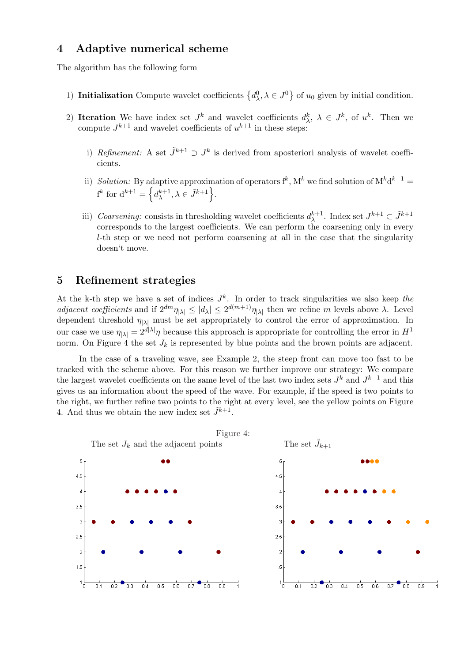# 4 Adaptive numerical scheme

The algorithm has the following form

- 1) Initialization Compute wavelet coefficients  $\left\{d^0_\lambda, \lambda \in J^0\right\}$ of  $u_0$  given by initial condition.
- 2) Iteration We have index set  $J^k$  and wavelet coefficients  $d^k_\lambda$ ,  $\lambda \in J^k$ , of  $u^k$ . Then we compute  $J^{k+1}$  and wavelet coefficients of  $u^{k+1}$  in these steps:
	- i) Refinement: A set  $\tilde{J}^{k+1} \supset J^k$  is derived from aposteriori analysis of wavelet coefficients.
	- ii) Solution: By adaptive approximation of operators  $f^k$ ,  $M^k$  we find solution of  $M^k d^{k+1} =$  $f^k$  for  $d^{k+1} = \left\{ d_{\lambda}^{k+1} \right\}$  $\{\lambda^{k+1}, \lambda \in \tilde{J}^{k+1}\}.$
	- iii) Coarsening: consists in thresholding wavelet coefficients  $d_{\lambda}^{k+1}$  $_{\lambda}^{k+1}$ . Index set  $J^{k+1} \subset \tilde{J}^{k+1}$ corresponds to the largest coefficients. We can perform the coarsening only in every l-th step or we need not perform coarsening at all in the case that the singularity doesn't move.

### 5 Refinement strategies

At the k-th step we have a set of indices  $J^k$ . In order to track singularities we also keep the adjacent coefficients and if  $2^{dm} \eta_{|\lambda|} \leq |d_{\lambda}| \leq 2^{d(m+1)} \eta_{|\lambda|}$  then we refine m levels above  $\lambda$ . Level dependent threshold  $\eta_{|\lambda|}$  must be set appropriately to control the error of approximation. In our case we use  $\eta_{|\lambda|} = 2^{d|\lambda|} \eta$  because this approach is appropriate for controlling the error in  $H^1$ norm. On Figure 4 the set  $J_k$  is represented by blue points and the brown points are adjacent.

In the case of a traveling wave, see Example 2, the steep front can move too fast to be tracked with the scheme above. For this reason we further improve our strategy: We compare the largest wavelet coefficients on the same level of the last two index sets  $J<sup>k</sup>$  and  $J<sup>k-1</sup>$  and this gives us an information about the speed of the wave. For example, if the speed is two points to the right, we further refine two points to the right at every level, see the yellow points on Figure 4. And thus we obtain the new index set  $\tilde{J}^{k+1}$ .

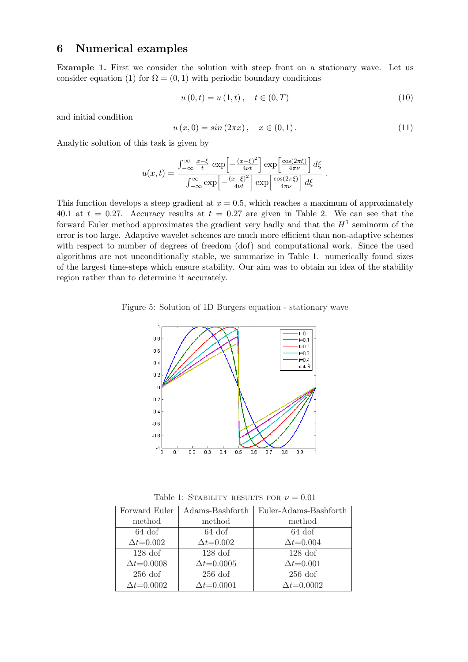# 6 Numerical examples

Example 1. First we consider the solution with steep front on a stationary wave. Let us consider equation (1) for  $\Omega = (0, 1)$  with periodic boundary conditions

$$
u(0,t) = u(1,t), \quad t \in (0,T)
$$
\n(10)

and initial condition

$$
u(x,0) = \sin(2\pi x), \quad x \in (0,1).
$$
 (11)

Analytic solution of this task is given by

$$
u(x,t) = \frac{\int_{-\infty}^{\infty} \frac{x-\xi}{t} \exp\left[-\frac{(x-\xi)^2}{4\nu t}\right] \exp\left[\frac{\cos(2\pi\xi)}{4\pi\nu}\right] d\xi}{\int_{-\infty}^{\infty} \exp\left[-\frac{(x-\xi)^2}{4\nu t}\right] \exp\left[\frac{\cos(2\pi\xi)}{4\pi\nu}\right] d\xi}.
$$

This function develops a steep gradient at  $x = 0.5$ , which reaches a maximum of approximately 40.1 at  $t = 0.27$ . Accuracy results at  $t = 0.27$  are given in Table 2. We can see that the forward Euler method approximates the gradient very badly and that the  $H^1$  seminorm of the error is too large. Adaptive wavelet schemes are much more efficient than non-adaptive schemes with respect to number of degrees of freedom (dof) and computational work. Since the used algorithms are not unconditionally stable, we summarize in Table 1. numerically found sizes of the largest time-steps which ensure stability. Our aim was to obtain an idea of the stability region rather than to determine it accurately.





Table 1: STABILITY RESULTS FOR  $\nu = 0.01$ 

| Forward Euler       | Adams-Bashforth     | Euler-Adams-Bashforth |
|---------------------|---------------------|-----------------------|
| method              | method              | method                |
| $64$ dof            | $64$ dof            | $64$ dof              |
| $\Delta t = 0.002$  | $\Delta t = 0.002$  | $\Delta t = 0.004$    |
| $128\,\mathrm{dof}$ | $128\,\mathrm{dof}$ | $128\,\mathrm{dof}$   |
| $\Delta t = 0.0008$ | $\Delta t = 0.0005$ | $\Delta t = 0.001$    |
| $256$ dof           | $256$ dof           | $256$ dof             |
| $\Delta t = 0.0002$ | $\Delta t = 0.0001$ | $\Delta t = 0.0002$   |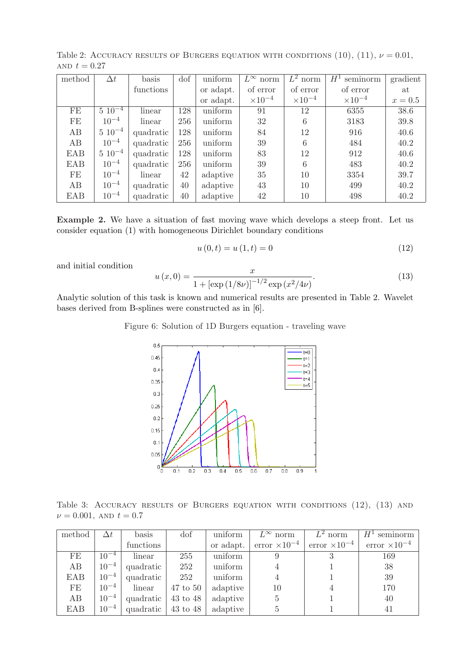| AND $t=0.27$ |        |              |           |     |           |                   |                  |                  |          |
|--------------|--------|--------------|-----------|-----|-----------|-------------------|------------------|------------------|----------|
|              | method |              | basis     | dof | uniform   | $L^{\infty}$ norm | $L^2$ norm $\pm$ | $H^1$ seminorm   | gradient |
|              |        |              | functions |     | or adapt. | of error          | of error         | of error         | at       |
|              |        |              |           |     | or adapt. | $\times 10^{-4}$  | $\times 10^{-4}$ | $\times 10^{-4}$ | $x=0.5$  |
|              | FE     | $5\ 10^{-4}$ | linear    | 128 | uniform   | 91                | 12               | 6355             | 38.6     |
|              | FE     | $10^{-4}$    | linear    | 256 | uniform   | 32                |                  | 3183             | 39.8     |

AB 5 10<sup>-4</sup> quadratic 128 uniform 84 12 916 40.6 AB | 10<sup>-4</sup> | quadratic | 256 | uniform | 39 | 6 | 484 | 40.2 EAB 5 10−<sup>4</sup> quadratic 128 uniform 83 12 912 40.6 EAB  $10^{-4}$  quadratic 256 uniform 39 6 483 40.2

AB | 10<sup>-4</sup> | quadratic | 40 | adaptive | 43 | 10 | 499 | 40.2 EAB  $10^{-4}$  quadratic 40 adaptive 42 10 498 40.2

Table 2: ACCURACY RESULTS OF BURGERS EQUATION WITH CONDITIONS  $(10)$ ,  $(11)$ ,  $\nu = 0.01$ ,

Example 2. We have a situation of fast moving wave which develops a steep front. Let us consider equation (1) with homogeneous Dirichlet boundary conditions

$$
u(0,t) = u(1,t) = 0
$$
\n(12)

and initial condition

 $FE$  10<sup>-4</sup>

$$
u(x,0) = \frac{x}{1 + [\exp(1/8\nu)]^{-1/2} \exp(x^2/4\nu)}.
$$
\n(13)

 $linear \mid 42 \mid adaptive \mid 35 \mid 10 \mid 3354 \mid 39.7$ 

Analytic solution of this task is known and numerical results are presented in Table 2. Wavelet bases derived from B-splines were constructed as in [6].

Figure 6: Solution of 1D Burgers equation - traveling wave



Table 3: ACCURACY RESULTS OF BURGERS EQUATION WITH CONDITIONS (12), (13) AND  $\nu = 0.001$ , AND  $t = 0.7$ 

| method     | $\Delta t$ | basis                                | dof | uniform   | $L^{\infty}$ norm | $L^2$ norm                                                           | $H^1$ seminorm |
|------------|------------|--------------------------------------|-----|-----------|-------------------|----------------------------------------------------------------------|----------------|
|            |            | functions                            |     | or adapt. |                   | error $\times 10^{-4}$ error $\times 10^{-4}$ error $\times 10^{-4}$ |                |
| FE         | $10^{-4}$  | linear                               | 255 | uniform   |                   |                                                                      | 169            |
| AB         | $10^{-4}$  | quadratic                            | 252 | uniform   |                   |                                                                      | 38             |
| EAB        |            | $10^{-4}$   quadratic $\overline{ }$ | 252 | uniform   |                   |                                                                      | 39             |
| FE         | $10^{-4}$  | $\frac{1}{2}$ linear   47 to 50      |     | adaptive  | 10                |                                                                      | 170            |
| AB         | $10^{-4}$  | quadratic $\vert$ 43 to 48 $\vert$   |     | adaptive  | $5\overline{)}$   |                                                                      | 40             |
| <b>EAB</b> | $10^{-4}$  | quadratic $\vert$ 43 to 48 $\vert$   |     | adaptive  |                   |                                                                      | 41             |